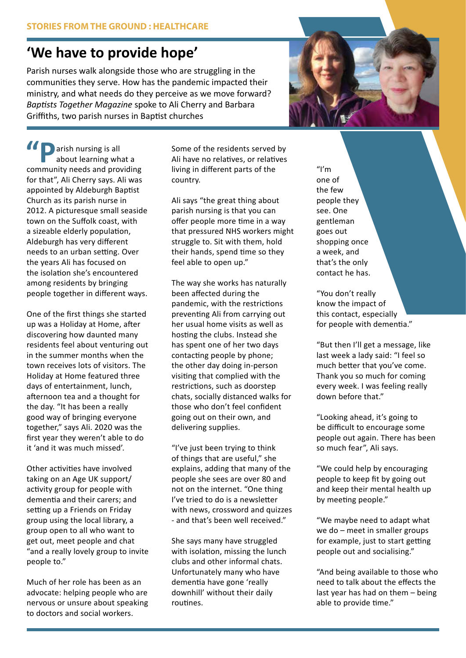## **'We have to provide hope'**

Parish nurses walk alongside those who are struggling in the communities they serve. How has the pandemic impacted their ministry, and what needs do they perceive as we move forward? *Baptists Together Magazine* spoke to Ali Cherry and Barbara Griffiths, two parish nurses in Baptist churches



**D** arish nursing is all about learning what a **10** Parish nursing is all<br>
about learning what a<br>
community needs and providing for that", Ali Cherry says. Ali was appointed by Aldeburgh Baptist Church as its parish nurse in 2012. A picturesque small seaside town on the Suffolk coast, with a sizeable elderly population, Aldeburgh has very different needs to an urban setting. Over the years Ali has focused on the isolation she's encountered among residents by bringing people together in different ways.

One of the first things she started up was a Holiday at Home, after discovering how daunted many residents feel about venturing out in the summer months when the town receives lots of visitors. The Holiday at Home featured three days of entertainment, lunch, afternoon tea and a thought for the day. "It has been a really good way of bringing everyone together," says Ali. 2020 was the first year they weren't able to do it 'and it was much missed'.

Other activities have involved taking on an Age UK support/ activity group for people with dementia and their carers; and setting up a Friends on Friday group using the local library, a group open to all who want to get out, meet people and chat "and a really lovely group to invite people to."

Much of her role has been as an advocate: helping people who are nervous or unsure about speaking to doctors and social workers.

Some of the residents served by Ali have no relatives, or relatives living in different parts of the country.

Ali says "the great thing about parish nursing is that you can offer people more time in a way that pressured NHS workers might struggle to. Sit with them, hold their hands, spend time so they feel able to open up."

The way she works has naturally been affected during the pandemic, with the restrictions preventing Ali from carrying out her usual home visits as well as hosting the clubs. Instead she has spent one of her two days contacting people by phone; the other day doing in-person visiting that complied with the restrictions, such as doorstep chats, socially distanced walks for those who don't feel confident going out on their own, and delivering supplies.

"I've just been trying to think of things that are useful," she explains, adding that many of the people she sees are over 80 and not on the internet. "One thing I've tried to do is a newsletter with news, crossword and quizzes - and that's been well received."

She says many have struggled with isolation, missing the lunch clubs and other informal chats. Unfortunately many who have dementia have gone 'really downhill' without their daily routines.

 $^{\prime\prime}$ I'm one of the few people they see. One gentleman goes out shopping once a week, and that's the only contact he has.

"You don't really know the impact of this contact, especially for people with dementia."

"But then I'll get a message, like last week a lady said: "I feel so much better that you've come. Thank you so much for coming every week. I was feeling really down before that."

"Looking ahead, it's going to be difficult to encourage some people out again. There has been so much fear", Ali says.

"We could help by encouraging people to keep fit by going out and keep their mental health up by meeting people."

"We maybe need to adapt what we do – meet in smaller groups for example, just to start getting people out and socialising."

"And being available to those who need to talk about the effects the last year has had on them – being able to provide time."